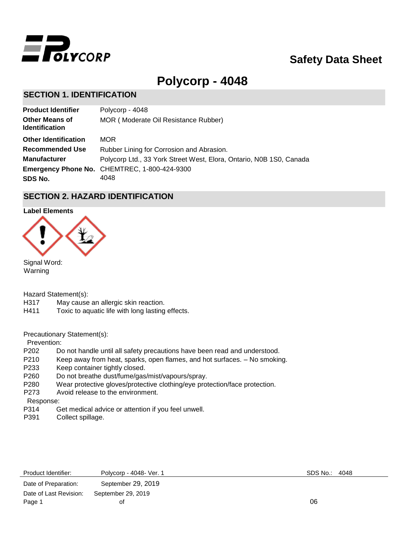

# **Safety Data Sheet**

# **Polycorp - 4048**

# **SECTION 1. IDENTIFICATION**

| <b>Product Identifier</b>                      | Polycorp - 4048                                                     |
|------------------------------------------------|---------------------------------------------------------------------|
| <b>Other Means of</b><br><b>Identification</b> | MOR (Moderate Oil Resistance Rubber)                                |
| <b>Other Identification</b>                    | <b>MOR</b>                                                          |
| <b>Recommended Use</b>                         | Rubber Lining for Corrosion and Abrasion.                           |
| <b>Manufacturer</b>                            | Polycorp Ltd., 33 York Street West, Elora, Ontario, N0B 1S0, Canada |
|                                                | <b>Emergency Phone No. CHEMTREC, 1-800-424-9300</b>                 |
| SDS No.                                        | 4048                                                                |

# **SECTION 2. HAZARD IDENTIFICATION**

#### **Label Elements**



Signal Word: Warning

Hazard Statement(s):

- H317 May cause an allergic skin reaction.
- H411 Toxic to aquatic life with long lasting effects.

Precautionary Statement(s):

Prevention:

- P202 Do not handle until all safety precautions have been read and understood.
- P210 Keep away from heat, sparks, open flames, and hot surfaces. No smoking.
- P233 Keep container tightly closed.
- P260 Do not breathe dust/fume/gas/mist/vapours/spray.
- P280 Wear protective gloves/protective clothing/eye protection/face protection.
- P273 Avoid release to the environment.

Response:

- P314 Get medical advice or attention if you feel unwell.
- P391 Collect spillage.

| Product Identifier:    | Polycorp - 4048 - Ver. 1 | SDS No.: 4048 |  |
|------------------------|--------------------------|---------------|--|
| Date of Preparation:   | September 29, 2019       |               |  |
| Date of Last Revision: | September 29, 2019       |               |  |
| Page 1                 | οt                       | 06            |  |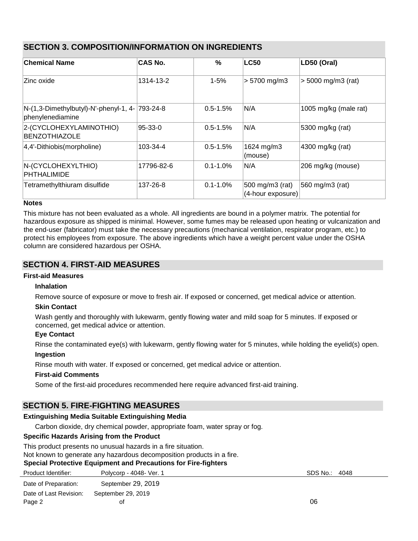|--|

| ∣Chemical Name                                            | <b>CAS No.</b> | $\frac{0}{0}$ | <b>LC50</b>                          | LD50 (Oral)                 |
|-----------------------------------------------------------|----------------|---------------|--------------------------------------|-----------------------------|
| Zinc oxide                                                | 1314-13-2      | $1 - 5%$      | $> 5700$ mg/m3                       | $> 5000$ mg/m3 (rat)        |
| N-(1,3-Dimethylbutyl)-N'-phenyl-1, 4-<br>phenylenediamine | 793-24-8       | $0.5 - 1.5%$  | N/A                                  | 1005 mg/kg (male rat)       |
| 2-(CYCLOHEXYLAMINOTHIO)<br><b>BENZOTHIAZOLE</b>           | 95-33-0        | $0.5 - 1.5%$  | N/A                                  | 5300 mg/kg (rat)            |
| 4,4'-Dithiobis(morpholine)                                | 103-34-4       | $0.5 - 1.5%$  | 1624 mg/m3<br>(mouse)                | $ 4300 \text{ mg/kg}$ (rat) |
| N-(CYCLOHEXYLTHIO)<br><b>PHTHALIMIDE</b>                  | 17796-82-6     | $0.1 - 1.0\%$ | N/A                                  | 206 mg/kg (mouse)           |
| Tetramethylthiuram disulfide                              | 137-26-8       | $0.1 - 1.0\%$ | 500 mg/m3 (rat)<br>(4-hour exposure) | 560 mg/m3 (rat)             |

## **Notes**

This mixture has not been evaluated as a whole. All ingredients are bound in a polymer matrix. The potential for hazardous exposure as shipped is minimal. However, some fumes may be released upon heating or vulcanization and the end-user (fabricator) must take the necessary precautions (mechanical ventilation, respirator program, etc.) to protect his employees from exposure. The above ingredients which have a weight percent value under the OSHA column are considered hazardous per OSHA.

# **SECTION 4. FIRST-AID MEASURES**

## **First-aid Measures**

## **Inhalation**

Remove source of exposure or move to fresh air. If exposed or concerned, get medical advice or attention.

## **Skin Contact**

Wash gently and thoroughly with lukewarm, gently flowing water and mild soap for 5 minutes. If exposed or concerned, get medical advice or attention.

## **Eye Contact**

Rinse the contaminated eye(s) with lukewarm, gently flowing water for 5 minutes, while holding the eyelid(s) open.

## **Ingestion**

Rinse mouth with water. If exposed or concerned, get medical advice or attention.

## **First-aid Comments**

Some of the first-aid procedures recommended here require advanced first-aid training.

# **SECTION 5. FIRE-FIGHTING MEASURES**

## **Extinguishing Media Suitable Extinguishing Media**

Carbon dioxide, dry chemical powder, appropriate foam, water spray or fog.

## **Specific Hazards Arising from the Product**

This product presents no unusual hazards in a fire situation.

Not known to generate any hazardous decomposition products in a fire.

## **Special Protective Equipment and Precautions for Fire-fighters**

| Product Identifier:    | Polycorp - 4048- Ver. 1 | SDS No.: | 4048 |
|------------------------|-------------------------|----------|------|
| Date of Preparation:   | September 29, 2019      |          |      |
| Date of Last Revision: | September 29, 2019      |          |      |
| Page 2                 | Οt                      | 06       |      |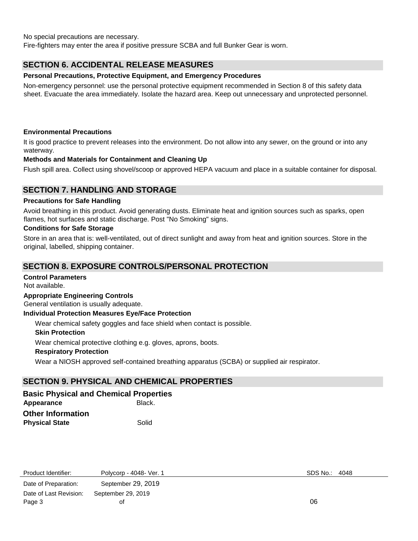No special precautions are necessary.

Fire-fighters may enter the area if positive pressure SCBA and full Bunker Gear is worn.

# **SECTION 6. ACCIDENTAL RELEASE MEASURES**

### **Personal Precautions, Protective Equipment, and Emergency Procedures**

Non-emergency personnel: use the personal protective equipment recommended in Section 8 of this safety data sheet. Evacuate the area immediately. Isolate the hazard area. Keep out unnecessary and unprotected personnel.

### **Environmental Precautions**

It is good practice to prevent releases into the environment. Do not allow into any sewer, on the ground or into any waterway.

## **Methods and Materials for Containment and Cleaning Up**

Flush spill area. Collect using shovel/scoop or approved HEPA vacuum and place in a suitable container for disposal.

# **SECTION 7. HANDLING AND STORAGE**

#### **Precautions for Safe Handling**

Avoid breathing in this product. Avoid generating dusts. Eliminate heat and ignition sources such as sparks, open flames, hot surfaces and static discharge. Post "No Smoking" signs.

#### **Conditions for Safe Storage**

Store in an area that is: well-ventilated, out of direct sunlight and away from heat and ignition sources. Store in the original, labelled, shipping container.

## **SECTION 8. EXPOSURE CONTROLS/PERSONAL PROTECTION**

#### **Control Parameters**

Not available.

#### **Appropriate Engineering Controls**

General ventilation is usually adequate.

#### **Individual Protection Measures Eye/Face Protection**

Wear chemical safety goggles and face shield when contact is possible.

#### **Skin Protection**

Wear chemical protective clothing e.g. gloves, aprons, boots.

#### **Respiratory Protection**

Wear a NIOSH approved self-contained breathing apparatus (SCBA) or supplied air respirator.

# **SECTION 9. PHYSICAL AND CHEMICAL PROPERTIES**

## **Basic Physical and Chemical Properties**

Appearance **Black. Other Information Physical State** Solid

| Product Identifier:    | Polycorp - 4048 - Ver. 1 | SDS No.: | 4048 |
|------------------------|--------------------------|----------|------|
| Date of Preparation:   | September 29, 2019       |          |      |
| Date of Last Revision: | September 29, 2019       |          |      |
| Page 3                 | Οt                       | 06       |      |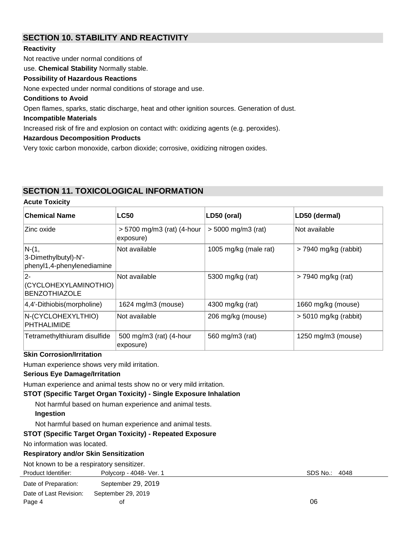# **SECTION 10. STABILITY AND REACTIVITY**

## **Reactivity**

Not reactive under normal conditions of

use. **Chemical Stability** Normally stable.

## **Possibility of Hazardous Reactions**

None expected under normal conditions of storage and use.

### **Conditions to Avoid**

Open flames, sparks, static discharge, heat and other ignition sources. Generation of dust.

### **Incompatible Materials**

Increased risk of fire and explosion on contact with: oxidizing agents (e.g. peroxides).

#### **Hazardous Decomposition Products**

Very toxic carbon monoxide, carbon dioxide; corrosive, oxidizing nitrogen oxides.

## **SECTION 11. TOXICOLOGICAL INFORMATION**

#### **Acute Toxicity**

| ∣Chemical Name                                                | <b>LC50</b>                             | LD50 (oral)           | LD50 (dermal)           |
|---------------------------------------------------------------|-----------------------------------------|-----------------------|-------------------------|
| ∣Zinc oxide.                                                  | > 5700 mg/m3 (rat) (4-hour<br>exposure) | $> 5000$ mg/m3 (rat)  | lNot available          |
| $N-(1,$<br>3-Dimethylbutyl)-N'-<br>phenyl1,4-phenylenediamine | Not available                           | 1005 mg/kg (male rat) | $>$ 7940 mg/kg (rabbit) |
| 2-<br>(CYCLOHEXYLAMINOTHIO)<br><b>BENZOTHIAZOLE</b>           | Not available                           | 5300 mg/kg (rat)      | > 7940 mg/kg (rat)      |
| $ 4,4$ '-Dithiobis(morpholine)                                | 1624 mg/m3 (mouse)                      | 4300 mg/kg (rat)      | 1660 mg/kg (mouse)      |
| N-(CYCLOHEXYLTHIO)<br><b>PHTHALIMIDE</b>                      | Not available                           | 206 mg/kg (mouse)     | $> 5010$ mg/kg (rabbit) |
| Tetramethylthiuram disulfide                                  | 500 mg/m3 (rat) (4-hour<br>exposure)    | 560 mg/m3 (rat)       | 1250 mg/m3 (mouse)      |

## **Skin Corrosion/Irritation**

Human experience shows very mild irritation.

## **Serious Eye Damage/Irritation**

Human experience and animal tests show no or very mild irritation.

## **STOT (Specific Target Organ Toxicity) - Single Exposure Inhalation**

Not harmful based on human experience and animal tests.

## **Ingestion**

Not harmful based on human experience and animal tests.

## **STOT (Specific Target Organ Toxicity) - Repeated Exposure**

No information was located.

## **Respiratory and/or Skin Sensitization**

Not known to be a respiratory sensitizer.

| Product Identifier:  | Polycorp - 4048- Ver. |
|----------------------|-----------------------|
| Date of Preparation: | September 29, 2019    |

| Date of Last Revision: September 29, 2019 |    |    |
|-------------------------------------------|----|----|
| Page 4                                    | οf | 06 |

Product Identifier: Polycorp - 4048- Ver. 1 SDS No.: 4048- Ver. 1 SDS No.: 4048- Ver. 1 SDS No.: 4048- Ver. 1 SDS No.: 4048- Ver. 1 SDS No.: 4048- Ver. 1 SDS No.: 4048- Ver. 1 SDS No.: 4048- Ver. 1 SDS No.: 4048- Ver. 1 SD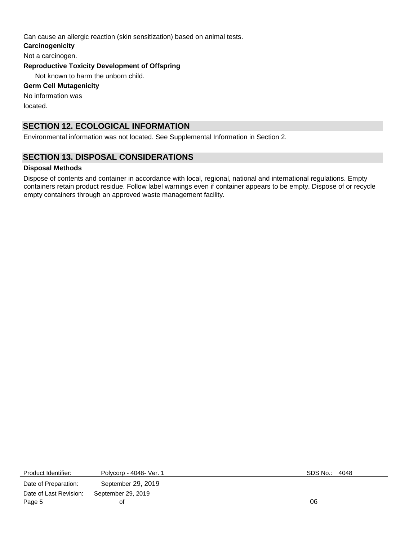Can cause an allergic reaction (skin sensitization) based on animal tests.

**Carcinogenicity** 

Not a carcinogen.

**Reproductive Toxicity Development of Offspring**

Not known to harm the unborn child.

## **Germ Cell Mutagenicity**

No information was located.

# **SECTION 12. ECOLOGICAL INFORMATION**

Environmental information was not located. See Supplemental Information in Section 2.

# **SECTION 13. DISPOSAL CONSIDERATIONS**

## **Disposal Methods**

Dispose of contents and container in accordance with local, regional, national and international regulations. Empty containers retain product residue. Follow label warnings even if container appears to be empty. Dispose of or recycle empty containers through an approved waste management facility.

Product Identifier: Polycorp - 4048- Ver. 1 SDS No.: 4048-

Date of Preparation: September 29, 2019 Date of Last Revision: September 29, 2019 Page 5 of 06